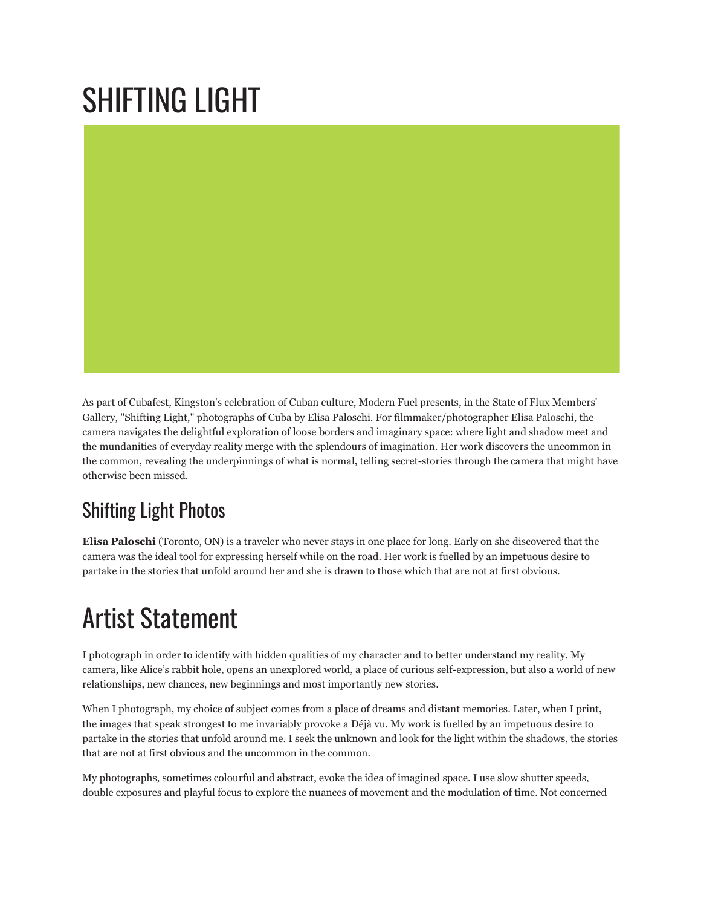## SHIFTING LIGHT



As part of Cubafest, Kingston's celebration of Cuban culture, Modern Fuel presents, in the State of Flux Members' Gallery, "Shifting Light," photographs of Cuba by Elisa Paloschi. For filmmaker/photographer Elisa Paloschi, the camera navigates the delightful exploration of loose borders and imaginary space: where light and shadow meet and the mundanities of everyday reality merge with the splendours of imagination. Her work discovers the uncommon in the common, revealing the underpinnings of what is normal, telling secret-stories through the camera that might have otherwise been missed.

## **[Shifting](http://www.flickr.com/photos/modernfuel/sets/72157622076036716/) Light Photos**

**Elisa Paloschi** (Toronto, ON) is a traveler who never stays in one place for long. Early on she discovered that the camera was the ideal tool for expressing herself while on the road. Her work is fuelled by an impetuous desire to partake in the stories that unfold around her and she is drawn to those which that are not at first obvious.

## Artist Statement

I photograph in order to identify with hidden qualities of my character and to better understand my reality. My camera, like Alice's rabbit hole, opens an unexplored world, a place of curious self-expression, but also a world of new relationships, new chances, new beginnings and most importantly new stories.

When I photograph, my choice of subject comes from a place of dreams and distant memories. Later, when I print, the images that speak strongest to me invariably provoke a Déjà vu. My work is fuelled by an impetuous desire to partake in the stories that unfold around me. I seek the unknown and look for the light within the shadows, the stories that are not at first obvious and the uncommon in the common.

My photographs, sometimes colourful and abstract, evoke the idea of imagined space. I use slow shutter speeds, double exposures and playful focus to explore the nuances of movement and the modulation of time. Not concerned